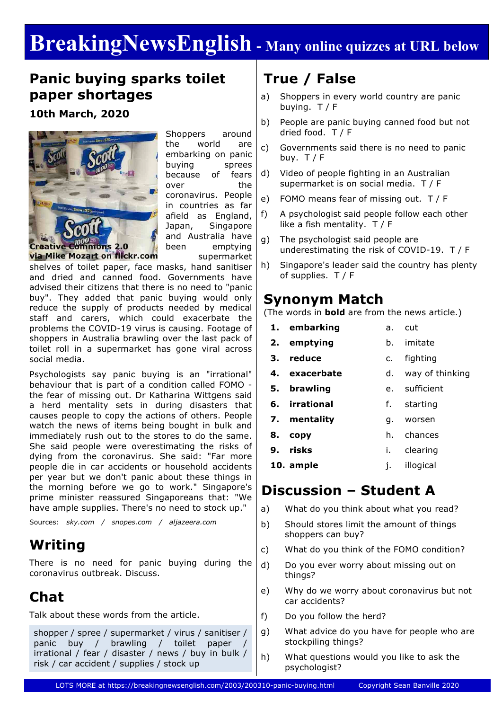# **BreakingNewsEnglish - Many online quizzes at URL below**

### **Panic buying sparks toilet paper shortages**

**10th March, 2020**



Shoppers around the world are embarking on panic buying sprees because of fears over the coronavirus. People in countries as far afield as England, Japan, Singapore and Australia have been emptying supermarket

**via Mike Mozart on flickr.com** 

shelves of toilet paper, face masks, hand sanitiser and dried and canned food. Governments have advised their citizens that there is no need to "panic buy". They added that panic buying would only reduce the supply of products needed by medical staff and carers, which could exacerbate the problems the COVID-19 virus is causing. Footage of shoppers in Australia brawling over the last pack of toilet roll in a supermarket has gone viral across social media.

Psychologists say panic buying is an "irrational" behaviour that is part of a condition called FOMO the fear of missing out. Dr Katharina Wittgens said a herd mentality sets in during disasters that causes people to copy the actions of others. People watch the news of items being bought in bulk and immediately rush out to the stores to do the same. She said people were overestimating the risks of dying from the coronavirus. She said: "Far more people die in car accidents or household accidents per year but we don't panic about these things in the morning before we go to work." Singapore's prime minister reassured Singaporeans that: "We have ample supplies. There's no need to stock up."

Sources: *sky.com / snopes.com / aljazeera.com*

### **Writing**

There is no need for panic buying during the coronavirus outbreak. Discuss.

# **Chat**

Talk about these words from the article.

shopper / spree / supermarket / virus / sanitiser / panic buy / brawling / toilet paper irrational / fear / disaster / news / buy in bulk / risk / car accident / supplies / stock up

# **True / False**

- a) Shoppers in every world country are panic buying. T / F
- b) People are panic buying canned food but not dried food. T / F
- c) Governments said there is no need to panic buy.  $T / F$
- d) Video of people fighting in an Australian supermarket is on social media. T / F
- e) FOMO means fear of missing out. T / F
- f) A psychologist said people follow each other like a fish mentality. T / F
- g) The psychologist said people are underestimating the risk of COVID-19. T / F
- h) Singapore's leader said the country has plenty of supplies. T / F

### **Synonym Match**

(The words in **bold** are from the news article.)

- **1. embarking** a. cut
- **2. emptying** b. imitate
- **3. reduce**
	- c. fighting
- **4. exacerbate** d. way of thinking
- **5. brawling** e. sufficient
- **6. irrational** f. starting
- **7. mentality** g. worsen
- **8. copy** h. chances
- **9. risks** i. clearing
- **10. ample** j. illogical

### **Discussion – Student A**

- a) What do you think about what you read?
- b) Should stores limit the amount of things shoppers can buy?
- c) What do you think of the FOMO condition?
- d) Do you ever worry about missing out on things?
- e) Why do we worry about coronavirus but not car accidents?
- f) Do you follow the herd?
- g) What advice do you have for people who are stockpiling things?
- h) What questions would you like to ask the psychologist?